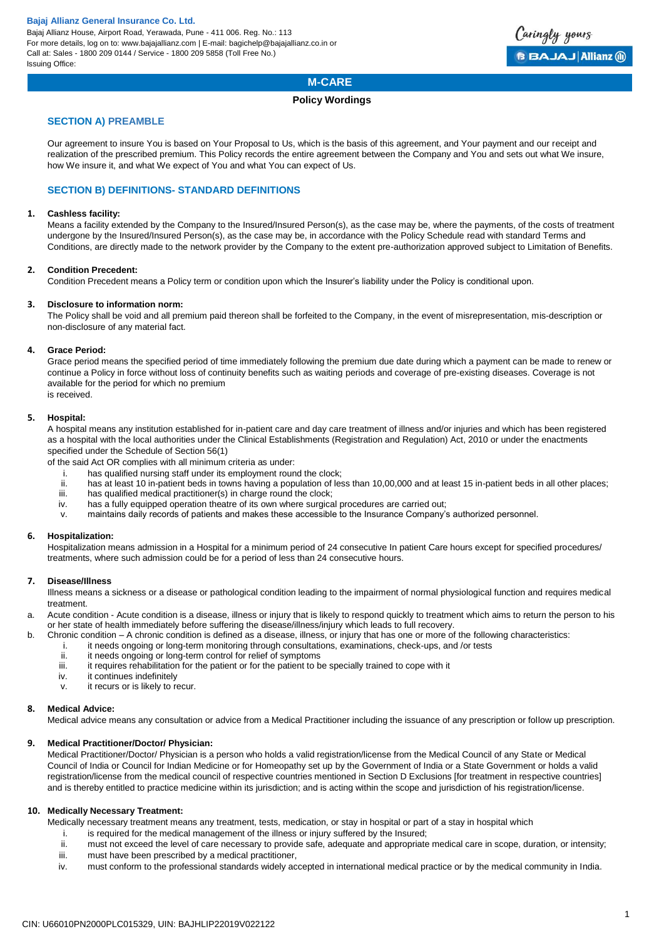Bajaj Allianz House, Airport Road, Yerawada, Pune - 411 006. Reg. No.: 113 For more details, log on to: www.bajajallianz.com | E-mail: bagichelp@bajajallianz.co.in or Call at: Sales - 1800 209 0144 / Service - 1800 209 5858 (Toll Free No.) Issuing Office:



# **M-CARE**

### **Policy Wordings**

### **SECTION A) PREAMBLE**

Our agreement to insure You is based on Your Proposal to Us, which is the basis of this agreement, and Your payment and our receipt and realization of the prescribed premium. This Policy records the entire agreement between the Company and You and sets out what We insure, how We insure it, and what We expect of You and what You can expect of Us.

### **SECTION B) DEFINITIONS- STANDARD DEFINITIONS**

### **1. Cashless facility:**

Means a facility extended by the Company to the Insured/Insured Person(s), as the case may be, where the payments, of the costs of treatment undergone by the Insured/Insured Person(s), as the case may be, in accordance with the Policy Schedule read with standard Terms and Conditions, are directly made to the network provider by the Company to the extent pre-authorization approved subject to Limitation of Benefits.

### **2. Condition Precedent:**

Condition Precedent means a Policy term or condition upon which the Insurer's liability under the Policy is conditional upon.

### **3. Disclosure to information norm:**

The Policy shall be void and all premium paid thereon shall be forfeited to the Company, in the event of misrepresentation, mis-description or non-disclosure of any material fact.

### **4. Grace Period:**

Grace period means the specified period of time immediately following the premium due date during which a payment can be made to renew or continue a Policy in force without loss of continuity benefits such as waiting periods and coverage of pre-existing diseases. Coverage is not available for the period for which no premium

is received.

### **5. Hospital:**

A hospital means any institution established for in-patient care and day care treatment of illness and/or injuries and which has been registered as a hospital with the local authorities under the Clinical Establishments (Registration and Regulation) Act, 2010 or under the enactments specified under the Schedule of Section 56(1)

of the said Act OR complies with all minimum criteria as under:

- i. has qualified nursing staff under its employment round the clock;
- ii. has at least 10 in-patient beds in towns having a population of less than 10,00,000 and at least 15 in-patient beds in all other places;<br>iii. has qualified medical practitioner(s) in charge round the clock;
- iii. has qualified medical practitioner(s) in charge round the clock;<br>iv. has a fully equipped operation theatre of its own where surgical
- has a fully equipped operation theatre of its own where surgical procedures are carried out;
- v. maintains daily records of patients and makes these accessible to the Insurance Company's authorized personnel.

### **6. Hospitalization:**

Hospitalization means admission in a Hospital for a minimum period of 24 consecutive In patient Care hours except for specified procedures/ treatments, where such admission could be for a period of less than 24 consecutive hours.

### **7. Disease/Illness**

Illness means a sickness or a disease or pathological condition leading to the impairment of normal physiological function and requires medical treatment.

a. Acute condition - Acute condition is a disease, illness or injury that is likely to respond quickly to treatment which aims to return the person to his or her state of health immediately before suffering the disease/illness/injury which leads to full recovery.

- b. Chronic condition A chronic condition is defined as a disease, illness, or injury that has one or more of the following characteristics:
	- i. it needs ongoing or long-term monitoring through consultations, examinations, check-ups, and /or tests<br>it it needs ongoing or long-term control for relief of symptoms
	- ii. it needs ongoing or long-term control for relief of symptoms<br>iii. it requires rehabilitation for the patient or for the patient to be
	- iii. it requires rehabilitation for the patient or for the patient to be specially trained to cope with it iv.
	- it continues indefinitely
	- v. it recurs or is likely to recur.

### **8. Medical Advice:**

Medical advice means any consultation or advice from a Medical Practitioner including the issuance of any prescription or follow up prescription.

### **9. Medical Practitioner/Doctor/ Physician:**

Medical Practitioner/Doctor/ Physician is a person who holds a valid registration/license from the Medical Council of any State or Medical Council of India or Council for Indian Medicine or for Homeopathy set up by the Government of India or a State Government or holds a valid registration/license from the medical council of respective countries mentioned in Section D Exclusions [for treatment in respective countries] and is thereby entitled to practice medicine within its jurisdiction; and is acting within the scope and jurisdiction of his registration/license.

### **10. Medically Necessary Treatment:**

Medically necessary treatment means any treatment, tests, medication, or stay in hospital or part of a stay in hospital which

- i. is required for the medical management of the illness or injury suffered by the Insured;
- ii. must not exceed the level of care necessary to provide safe, adequate and appropriate medical care in scope, duration, or intensity;
- iii. must have been prescribed by a medical practitioner,
- iv. must conform to the professional standards widely accepted in international medical practice or by the medical community in India.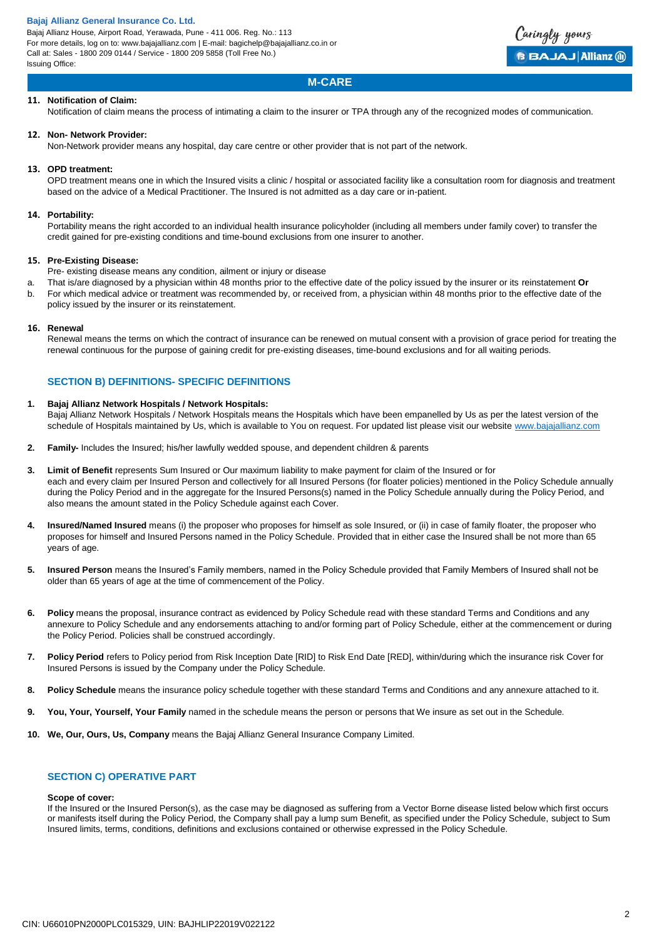Bajaj Allianz House, Airport Road, Yerawada, Pune - 411 006. Reg. No.: 113 For more details, log on to: www.bajajallianz.com | E-mail: bagichelp@bajajallianz.co.in or Call at: Sales - 1800 209 0144 / Service - 1800 209 5858 (Toll Free No.) Issuing Office:



## **M-CARE**

### **11. Notification of Claim:**

Notification of claim means the process of intimating a claim to the insurer or TPA through any of the recognized modes of communication.

### **12. Non- Network Provider:**

Non-Network provider means any hospital, day care centre or other provider that is not part of the network.

#### **13. OPD treatment:**

OPD treatment means one in which the Insured visits a clinic / hospital or associated facility like a consultation room for diagnosis and treatment based on the advice of a Medical Practitioner. The Insured is not admitted as a day care or in-patient.

#### **14. Portability:**

Portability means the right accorded to an individual health insurance policyholder (including all members under family cover) to transfer the credit gained for pre-existing conditions and time-bound exclusions from one insurer to another.

#### **15. Pre-Existing Disease:**

- Pre- existing disease means any condition, ailment or injury or disease
- a. That is/are diagnosed by a physician within 48 months prior to the effective date of the policy issued by the insurer or its reinstatement **Or**
- b. For which medical advice or treatment was recommended by, or received from, a physician within 48 months prior to the effective date of the policy issued by the insurer or its reinstatement.

#### **16. Renewal**

Renewal means the terms on which the contract of insurance can be renewed on mutual consent with a provision of grace period for treating the renewal continuous for the purpose of gaining credit for pre-existing diseases, time-bound exclusions and for all waiting periods.

### **SECTION B) DEFINITIONS- SPECIFIC DEFINITIONS**

#### **1. Bajaj Allianz Network Hospitals / Network Hospitals:**

Bajaj Allianz Network Hospitals / Network Hospitals means the Hospitals which have been empanelled by Us as per the latest version of the schedule of Hospitals maintained by Us, which is available to You on request. For updated list please visit our websit[e www.bajajallianz.com](http://www.bajajallianz.com/)

- **2. Family-** Includes the Insured; his/her lawfully wedded spouse, and dependent children & parents
- **3. Limit of Benefit** represents Sum Insured or Our maximum liability to make payment for claim of the Insured or for each and every claim per Insured Person and collectively for all Insured Persons (for floater policies) mentioned in the Policy Schedule annually during the Policy Period and in the aggregate for the Insured Persons(s) named in the Policy Schedule annually during the Policy Period, and also means the amount stated in the Policy Schedule against each Cover.
- **4. Insured/Named Insured** means (i) the proposer who proposes for himself as sole Insured, or (ii) in case of family floater, the proposer who proposes for himself and Insured Persons named in the Policy Schedule. Provided that in either case the Insured shall be not more than 65 years of age.
- **5. Insured Person** means the Insured's Family members, named in the Policy Schedule provided that Family Members of Insured shall not be older than 65 years of age at the time of commencement of the Policy.
- **6. Policy** means the proposal, insurance contract as evidenced by Policy Schedule read with these standard Terms and Conditions and any annexure to Policy Schedule and any endorsements attaching to and/or forming part of Policy Schedule, either at the commencement or during the Policy Period. Policies shall be construed accordingly.
- **7. Policy Period** refers to Policy period from Risk Inception Date [RID] to Risk End Date [RED], within/during which the insurance risk Cover for Insured Persons is issued by the Company under the Policy Schedule.
- **8. Policy Schedule** means the insurance policy schedule together with these standard Terms and Conditions and any annexure attached to it.
- **9. You, Your, Yourself, Your Family** named in the schedule means the person or persons that We insure as set out in the Schedule.
- **10. We, Our, Ours, Us, Company** means the Bajaj Allianz General Insurance Company Limited.

## **SECTION C) OPERATIVE PART**

#### **Scope of cover:**

If the Insured or the Insured Person(s), as the case may be diagnosed as suffering from a Vector Borne disease listed below which first occurs or manifests itself during the Policy Period, the Company shall pay a lump sum Benefit, as specified under the Policy Schedule, subject to Sum Insured limits, terms, conditions, definitions and exclusions contained or otherwise expressed in the Policy Schedule.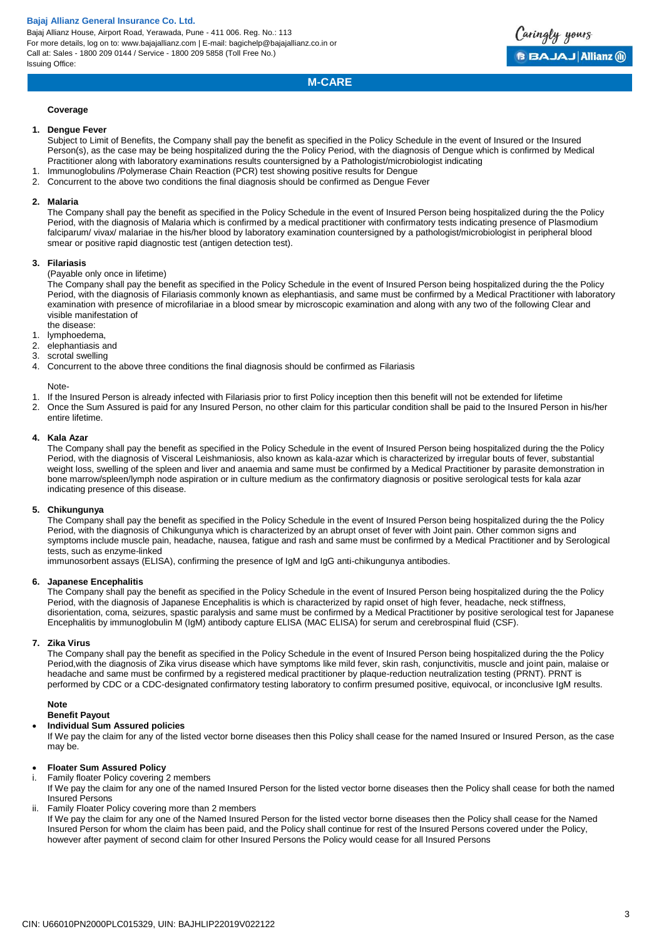Bajaj Allianz House, Airport Road, Yerawada, Pune - 411 006. Reg. No.: 113 For more details, log on to: www.bajajallianz.com | E-mail: bagichelp@bajajallianz.co.in or Call at: Sales - 1800 209 0144 / Service - 1800 209 5858 (Toll Free No.) Issuing Office:



## **M-CARE**

#### **Coverage**

#### **1. Dengue Fever**

Subject to Limit of Benefits, the Company shall pay the benefit as specified in the Policy Schedule in the event of Insured or the Insured Person(s), as the case may be being hospitalized during the the Policy Period, with the diagnosis of Dengue which is confirmed by Medical Practitioner along with laboratory examinations results countersigned by a Pathologist/microbiologist indicating

- 1. Immunoglobulins /Polymerase Chain Reaction (PCR) test showing positive results for Dengue
- 2. Concurrent to the above two conditions the final diagnosis should be confirmed as Dengue Fever

#### **2. Malaria**

The Company shall pay the benefit as specified in the Policy Schedule in the event of Insured Person being hospitalized during the the Policy Period, with the diagnosis of Malaria which is confirmed by a medical practitioner with confirmatory tests indicating presence of Plasmodium falciparum/ vivax/ malariae in the his/her blood by laboratory examination countersigned by a pathologist/microbiologist in peripheral blood smear or positive rapid diagnostic test (antigen detection test).

#### **3. Filariasis**

(Payable only once in lifetime)

The Company shall pay the benefit as specified in the Policy Schedule in the event of Insured Person being hospitalized during the the Policy Period, with the diagnosis of Filariasis commonly known as elephantiasis, and same must be confirmed by a Medical Practitioner with laboratory examination with presence of microfilariae in a blood smear by microscopic examination and along with any two of the following Clear and visible manifestation of

- the disease:
- 1. lymphoedema,
- 2. elephantiasis and
- 3. scrotal swelling
- 4. Concurrent to the above three conditions the final diagnosis should be confirmed as Filariasis

#### Note-

- 1. If the Insured Person is already infected with Filariasis prior to first Policy inception then this benefit will not be extended for lifetime
- 2. Once the Sum Assured is paid for any Insured Person, no other claim for this particular condition shall be paid to the Insured Person in his/her entire lifetime.

#### **4. Kala Azar**

The Company shall pay the benefit as specified in the Policy Schedule in the event of Insured Person being hospitalized during the the Policy Period, with the diagnosis of Visceral Leishmaniosis, also known as kala-azar which is characterized by irregular bouts of fever, substantial weight loss, swelling of the spleen and liver and anaemia and same must be confirmed by a Medical Practitioner by parasite demonstration in bone marrow/spleen/lymph node aspiration or in culture medium as the confirmatory diagnosis or positive serological tests for kala azar indicating presence of this disease.

#### **5. Chikungunya**

The Company shall pay the benefit as specified in the Policy Schedule in the event of Insured Person being hospitalized during the the Policy Period, with the diagnosis of Chikungunya which is characterized by an abrupt onset of fever with Joint pain. Other common signs and symptoms include muscle pain, headache, nausea, fatigue and rash and same must be confirmed by a Medical Practitioner and by Serological tests, such as enzyme-linked

immunosorbent assays (ELISA), confirming the presence of IgM and IgG anti-chikungunya antibodies.

#### **6. Japanese Encephalitis**

The Company shall pay the benefit as specified in the Policy Schedule in the event of Insured Person being hospitalized during the the Policy Period, with the diagnosis of Japanese Encephalitis is which is characterized by rapid onset of high fever, headache, neck stiffness, disorientation, coma, seizures, spastic paralysis and same must be confirmed by a Medical Practitioner by positive serological test for Japanese Encephalitis by immunoglobulin M (IgM) antibody capture ELISA (MAC ELISA) for serum and cerebrospinal fluid (CSF).

### **7. Zika Virus**

The Company shall pay the benefit as specified in the Policy Schedule in the event of Insured Person being hospitalized during the the Policy Period,with the diagnosis of Zika virus disease which have symptoms like mild fever, skin rash, conjunctivitis, muscle and joint pain, malaise or headache and same must be confirmed by a registered medical practitioner by plaque-reduction neutralization testing (PRNT). PRNT is performed by CDC or a CDC-designated confirmatory testing laboratory to confirm presumed positive, equivocal, or inconclusive IgM results.

#### **Note Benefit Payout**

## **Individual Sum Assured policies**

If We pay the claim for any of the listed vector borne diseases then this Policy shall cease for the named Insured or Insured Person, as the case may be.

#### **Floater Sum Assured Policy**

#### i. Family floater Policy covering 2 members

If We pay the claim for any one of the named Insured Person for the listed vector borne diseases then the Policy shall cease for both the named Insured Persons

ii. Family Floater Policy covering more than 2 members

If We pay the claim for any one of the Named Insured Person for the listed vector borne diseases then the Policy shall cease for the Named Insured Person for whom the claim has been paid, and the Policy shall continue for rest of the Insured Persons covered under the Policy, however after payment of second claim for other Insured Persons the Policy would cease for all Insured Persons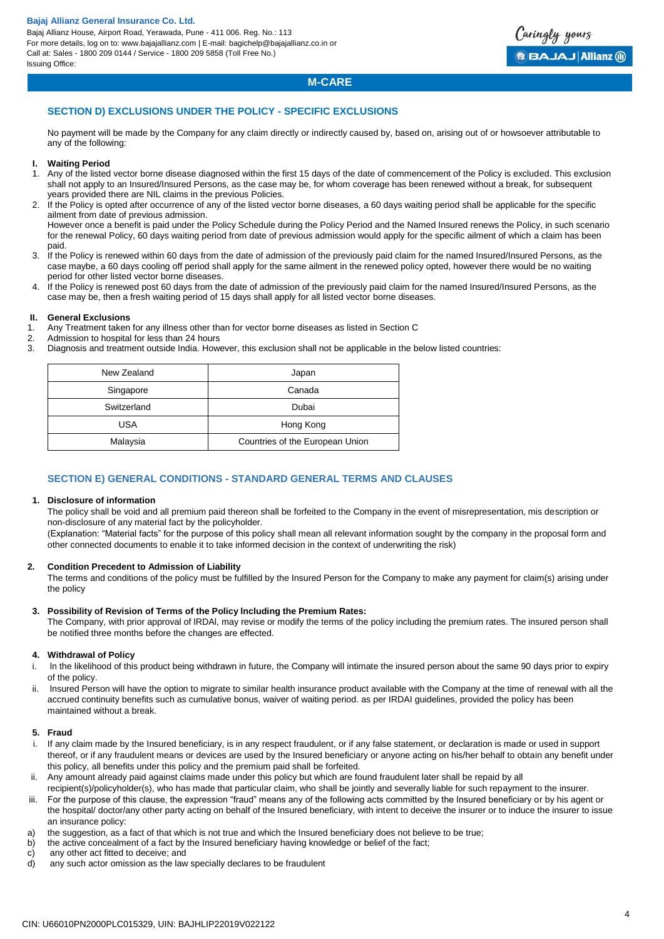Bajaj Allianz House, Airport Road, Yerawada, Pune - 411 006. Reg. No.: 113 For more details, log on to: www.bajajallianz.com | E-mail: bagichelp@bajajallianz.co.in or Call at: Sales - 1800 209 0144 / Service - 1800 209 5858 (Toll Free No.) Issuing Office:



## **M-CARE**

### **SECTION D) EXCLUSIONS UNDER THE POLICY - SPECIFIC EXCLUSIONS**

No payment will be made by the Company for any claim directly or indirectly caused by, based on, arising out of or howsoever attributable to any of the following:

### **I. Waiting Period**

- 1. Any of the listed vector borne disease diagnosed within the first 15 days of the date of commencement of the Policy is excluded. This exclusion shall not apply to an Insured/Insured Persons, as the case may be, for whom coverage has been renewed without a break, for subsequent years provided there are NIL claims in the previous Policies.
- 2. If the Policy is opted after occurrence of any of the listed vector borne diseases, a 60 days waiting period shall be applicable for the specific ailment from date of previous admission.

However once a benefit is paid under the Policy Schedule during the Policy Period and the Named Insured renews the Policy, in such scenario for the renewal Policy, 60 days waiting period from date of previous admission would apply for the specific ailment of which a claim has been paid.

- 3. If the Policy is renewed within 60 days from the date of admission of the previously paid claim for the named Insured/Insured Persons, as the case maybe, a 60 days cooling off period shall apply for the same ailment in the renewed policy opted, however there would be no waiting period for other listed vector borne diseases.
- 4. If the Policy is renewed post 60 days from the date of admission of the previously paid claim for the named Insured/Insured Persons, as the case may be, then a fresh waiting period of 15 days shall apply for all listed vector borne diseases.

### **II. General Exclusions**

- 1. Any Treatment taken for any illness other than for vector borne diseases as listed in Section C
- 2. Admission to hospital for less than 24 hours<br>3. Diagnosis and treatment outside India. Howe
- Diagnosis and treatment outside India. However, this exclusion shall not be applicable in the below listed countries:

| New Zealand | Japan                           |
|-------------|---------------------------------|
| Singapore   | Canada                          |
| Switzerland | Dubai                           |
| USA         | Hong Kong                       |
| Malaysia    | Countries of the European Union |

### **SECTION E) GENERAL CONDITIONS - STANDARD GENERAL TERMS AND CLAUSES**

#### **1. Disclosure of information**

The policy shall be void and all premium paid thereon shall be forfeited to the Company in the event of misrepresentation, mis description or non-disclosure of any material fact by the policyholder.

(Explanation: "Material facts" for the purpose of this policy shall mean all relevant information sought by the company in the proposal form and other connected documents to enable it to take informed decision in the context of underwriting the risk)

#### **2. Condition Precedent to Admission of Liability**

The terms and conditions of the policy must be fulfilled by the Insured Person for the Company to make any payment for claim(s) arising under the policy

#### **3. Possibility of Revision of Terms of the Policy lncluding the Premium Rates:**

The Company, with prior approval of lRDAl, may revise or modify the terms of the policy including the premium rates. The insured person shall be notified three months before the changes are effected.

### **4. Withdrawal of Policy**

- i. ln the likelihood of this product being withdrawn in future, the Company will intimate the insured person about the same 90 days prior to expiry of the policy.
- ii. lnsured Person will have the option to migrate to similar health insurance product available with the Company at the time of renewal with all the accrued continuity benefits such as cumulative bonus, waiver of waiting period. as per IRDAI guidelines, provided the policy has been maintained without a break.

### **5. Fraud**

- If any claim made by the Insured beneficiary, is in any respect fraudulent, or if any false statement, or declaration is made or used in support thereof, or if any fraudulent means or devices are used by the Insured beneficiary or anyone acting on his/her behalf to obtain any benefit under this policy, all benefits under this policy and the premium paid shall be forfeited.
- ii. Any amount already paid against claims made under this policy but which are found fraudulent later shall be repaid by all
- recipient(s)/policyholder(s), who has made that particular claim, who shall be jointly and severally liable for such repayment to the insurer.
- iii. For the purpose of this clause, the expression "fraud" means any of the following acts committed by the Insured beneficiary or by his agent or the hospital/ doctor/any other party acting on behalf of the Insured beneficiary, with intent to deceive the insurer or to induce the insurer to issue an insurance policy:
- a) the suggestion, as a fact of that which is not true and which the Insured beneficiary does not believe to be true;
- b) the active concealment of a fact by the Insured beneficiary having knowledge or belief of the fact;
- c) any other act fitted to deceive; and<br>d) any such actor omission as the law
- any such actor omission as the law specially declares to be fraudulent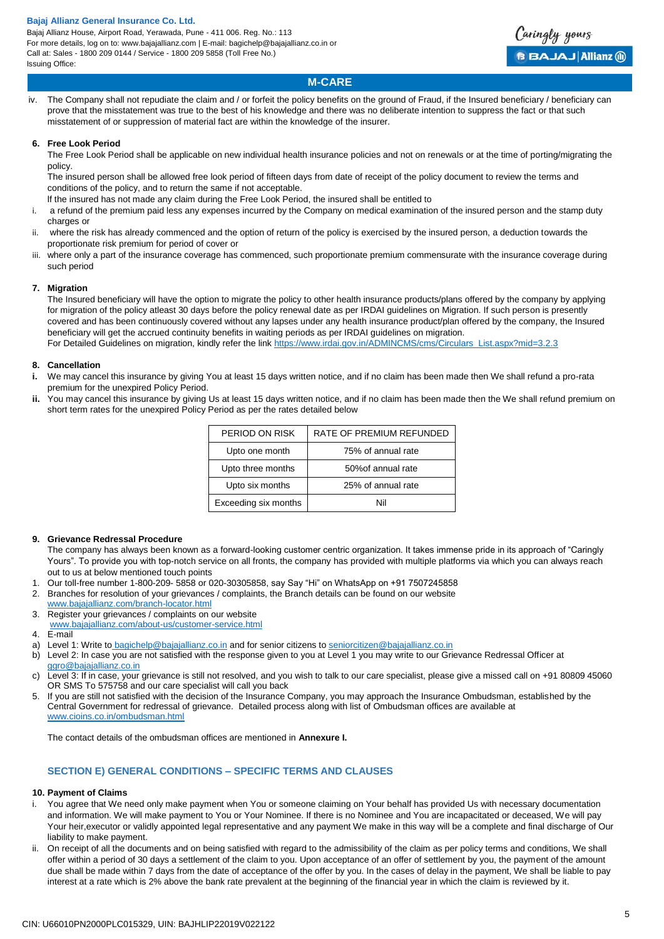Bajaj Allianz House, Airport Road, Yerawada, Pune - 411 006. Reg. No.: 113 For more details, log on to: www.bajajallianz.com | E-mail: bagichelp@bajajallianz.co.in or Call at: Sales - 1800 209 0144 / Service - 1800 209 5858 (Toll Free No.) Issuing Office:



## **M-CARE**

iv. The Company shall not repudiate the claim and / or forfeit the policy benefits on the ground of Fraud, if the Insured beneficiary / beneficiary can prove that the misstatement was true to the best of his knowledge and there was no deliberate intention to suppress the fact or that such misstatement of or suppression of material fact are within the knowledge of the insurer.

### **6. Free Look Period**

The Free Look Period shall be applicable on new individual health insurance policies and not on renewals or at the time of porting/migrating the policy.

The insured person shall be allowed free look period of fifteen days from date of receipt of the policy document to review the terms and conditions of the policy, and to return the same if not acceptable.

lf the insured has not made any claim during the Free Look Period, the insured shall be entitled to

- i. a refund of the premium paid less any expenses incurred by the Company on medical examination of the insured person and the stamp duty charges or
- ii. where the risk has already commenced and the option of return of the policy is exercised by the insured person, a deduction towards the proportionate risk premium for period of cover or
- iii. where only a part of the insurance coverage has commenced, such proportionate premium commensurate with the insurance coverage during such period

### **7. Migration**

The Insured beneficiary will have the option to migrate the policy to other health insurance products/plans offered by the company by applying for migration of the policy atleast 30 days before the policy renewal date as per IRDAI guidelines on Migration. If such person is presently covered and has been continuously covered without any lapses under any health insurance product/plan offered by the company, the Insured beneficiary will get the accrued continuity benefits in waiting periods as per IRDAI guidelines on migration. For Detailed Guidelines on migration, kindly refer the link [https://www.irdai.gov.in/ADMINCMS/cms/Circulars\\_List.aspx?mid=3.2.3](https://www.irdai.gov.in/ADMINCMS/cms/Circulars_List.aspx?mid=3.2.3)

#### **8. Cancellation**

- **i.** We may cancel this insurance by giving You at least 15 days written notice, and if no claim has been made then We shall refund a pro-rata premium for the unexpired Policy Period.
- **ii.** You may cancel this insurance by giving Us at least 15 days written notice, and if no claim has been made then the We shall refund premium on short term rates for the unexpired Policy Period as per the rates detailed below

| PERIOD ON RISK       | RATE OF PREMIUM REFUNDED |
|----------------------|--------------------------|
| Upto one month       | 75% of annual rate       |
| Upto three months    | 50% of annual rate       |
| Upto six months      | 25% of annual rate       |
| Exceeding six months | Nil                      |

### **9. Grievance Redressal Procedure**

The company has always been known as a forward-looking customer centric organization. It takes immense pride in its approach of "Caringly Yours". To provide you with top-notch service on all fronts, the company has provided with multiple platforms via which you can always reach out to us at below mentioned touch points

- 1. Our toll-free number 1-800-209- 5858 or 020-30305858, say Say "Hi" on WhatsApp on +91 7507245858
- 2. Branches for resolution of your grievances / complaints, the Branch details can be found on our website

[www.bajajallianz.com/branch-locator.html](http://www.bajajallianz.com/branch-locator.html)

- 3. Register your grievances / complaints on our website [www.bajajallianz.com/about-us/customer-service.html](http://www.bajajallianz.com/about-us/customer-service.html)
- 4. E-mail
- a) Level 1: Write to [bagichelp@bajajallianz.co.in](mailto:bagichelp@bajajallianz.co.in) and for senior citizens to [seniorcitizen@bajajallianz.co.in](mailto:seniorcitizen@bajajallianz.co.in)
- b) Level 2: In case you are not satisfied with the response given to you at Level 1 you may write to our Grievance Redressal Officer at [ggro@bajajallianz.co.in](mailto:ggro@bajajallianz.co.in)
- c) Level 3: If in case, your grievance is still not resolved, and you wish to talk to our care specialist, please give a missed call on +91 80809 45060 OR SMS To 575758 and our care specialist will call you back
- 5. If you are still not satisfied with the decision of the Insurance Company, you may approach the Insurance Ombudsman, established by the Central Government for redressal of grievance. Detailed process along with list of Ombudsman offices are available at [www.cioins.co.in/ombudsman.html](http://www.cioins.co.in/ombudsman.html)

The contact details of the ombudsman offices are mentioned in **Annexure I.** 

### **SECTION E) GENERAL CONDITIONS – SPECIFIC TERMS AND CLAUSES**

### **10. Payment of Claims**

- i. You agree that We need only make payment when You or someone claiming on Your behalf has provided Us with necessary documentation and information. We will make payment to You or Your Nominee. If there is no Nominee and You are incapacitated or deceased, We will pay Your heir,executor or validly appointed legal representative and any payment We make in this way will be a complete and final discharge of Our liability to make payment.
- On receipt of all the documents and on being satisfied with regard to the admissibility of the claim as per policy terms and conditions, We shall offer within a period of 30 days a settlement of the claim to you. Upon acceptance of an offer of settlement by you, the payment of the amount due shall be made within 7 days from the date of acceptance of the offer by you. In the cases of delay in the payment, We shall be liable to pay interest at a rate which is 2% above the bank rate prevalent at the beginning of the financial year in which the claim is reviewed by it.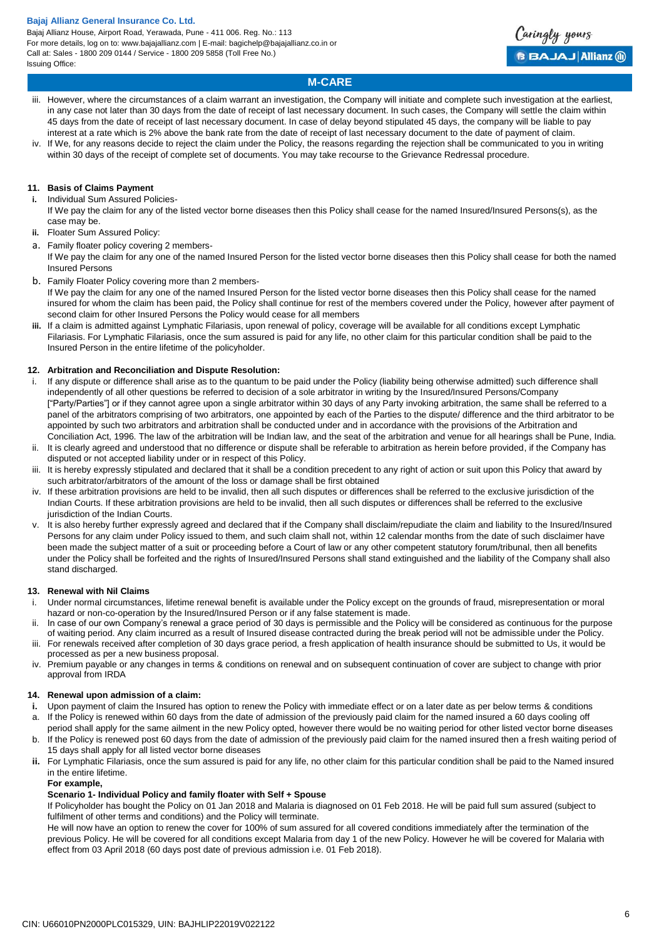Bajaj Allianz House, Airport Road, Yerawada, Pune - 411 006. Reg. No.: 113 For more details, log on to: www.bajajallianz.com | E-mail: bagichelp@bajajallianz.co.in or Call at: Sales - 1800 209 0144 / Service - 1800 209 5858 (Toll Free No.) Issuing Office:



## **M-CARE**

- iii. However, where the circumstances of a claim warrant an investigation, the Company will initiate and complete such investigation at the earliest, in any case not later than 30 days from the date of receipt of last necessary document. In such cases, the Company will settle the claim within 45 days from the date of receipt of last necessary document. In case of delay beyond stipulated 45 days, the company will be liable to pay interest at a rate which is 2% above the bank rate from the date of receipt of last necessary document to the date of payment of claim. If We, for any reasons decide to reject the claim under the Policy, the reasons regarding the rejection shall be communicated to you in writing
- within 30 days of the receipt of complete set of documents. You may take recourse to the Grievance Redressal procedure.

### **11. Basis of Claims Payment**

**i.** Individual Sum Assured Policies-

- If We pay the claim for any of the listed vector borne diseases then this Policy shall cease for the named Insured/Insured Persons(s), as the case may be.
- **ii.** Floater Sum Assured Policy:
- a. Family floater policy covering 2 members-

If We pay the claim for any one of the named Insured Person for the listed vector borne diseases then this Policy shall cease for both the named Insured Persons

b. Family Floater Policy covering more than 2 members-

If We pay the claim for any one of the named Insured Person for the listed vector borne diseases then this Policy shall cease for the named insured for whom the claim has been paid, the Policy shall continue for rest of the members covered under the Policy, however after payment of second claim for other Insured Persons the Policy would cease for all members

**iii.** If a claim is admitted against Lymphatic Filariasis, upon renewal of policy, coverage will be available for all conditions except Lymphatic Filariasis. For Lymphatic Filariasis, once the sum assured is paid for any life, no other claim for this particular condition shall be paid to the Insured Person in the entire lifetime of the policyholder.

### **12. Arbitration and Reconciliation and Dispute Resolution:**

- If any dispute or difference shall arise as to the quantum to be paid under the Policy (liability being otherwise admitted) such difference shall independently of all other questions be referred to decision of a sole arbitrator in writing by the Insured/Insured Persons/Company ["Party/Parties"] or if they cannot agree upon a single arbitrator within 30 days of any Party invoking arbitration, the same shall be referred to a panel of the arbitrators comprising of two arbitrators, one appointed by each of the Parties to the dispute/ difference and the third arbitrator to be appointed by such two arbitrators and arbitration shall be conducted under and in accordance with the provisions of the Arbitration and Conciliation Act, 1996. The law of the arbitration will be Indian law, and the seat of the arbitration and venue for all hearings shall be Pune, India.
- It is clearly agreed and understood that no difference or dispute shall be referable to arbitration as herein before provided, if the Company has disputed or not accepted liability under or in respect of this Policy.
- It is hereby expressly stipulated and declared that it shall be a condition precedent to any right of action or suit upon this Policy that award by such arbitrator/arbitrators of the amount of the loss or damage shall be first obtained
- iv. If these arbitration provisions are held to be invalid, then all such disputes or differences shall be referred to the exclusive jurisdiction of the Indian Courts. If these arbitration provisions are held to be invalid, then all such disputes or differences shall be referred to the exclusive jurisdiction of the Indian Courts.
- It is also hereby further expressly agreed and declared that if the Company shall disclaim/repudiate the claim and liability to the Insured/Insured Persons for any claim under Policy issued to them, and such claim shall not, within 12 calendar months from the date of such disclaimer have been made the subject matter of a suit or proceeding before a Court of law or any other competent statutory forum/tribunal, then all benefits under the Policy shall be forfeited and the rights of Insured/Insured Persons shall stand extinguished and the liability of the Company shall also stand discharged.

### **13. Renewal with Nil Claims**

- i. Under normal circumstances, lifetime renewal benefit is available under the Policy except on the grounds of fraud, misrepresentation or moral hazard or non-co-operation by the Insured/Insured Person or if any false statement is made.
- ii. In case of our own Company's renewal a grace period of 30 days is permissible and the Policy will be considered as continuous for the purpose of waiting period. Any claim incurred as a result of Insured disease contracted during the break period will not be admissible under the Policy. For renewals received after completion of 30 days grace period, a fresh application of health insurance should be submitted to Us, it would be
- processed as per a new business proposal.
- iv. Premium payable or any changes in terms & conditions on renewal and on subsequent continuation of cover are subject to change with prior approval from IRDA

### **14. Renewal upon admission of a claim:**

- **i.** Upon payment of claim the Insured has option to renew the Policy with immediate effect or on a later date as per below terms & conditions
- a. If the Policy is renewed within 60 days from the date of admission of the previously paid claim for the named insured a 60 days cooling off
- period shall apply for the same ailment in the new Policy opted, however there would be no waiting period for other listed vector borne diseases b. If the Policy is renewed post 60 days from the date of admission of the previously paid claim for the named insured then a fresh waiting period of 15 days shall apply for all listed vector borne diseases
- **ii.** For Lymphatic Filariasis, once the sum assured is paid for any life, no other claim for this particular condition shall be paid to the Named insured in the entire lifetime.

### **For example,**

### **Scenario 1- Individual Policy and family floater with Self + Spouse**

If Policyholder has bought the Policy on 01 Jan 2018 and Malaria is diagnosed on 01 Feb 2018. He will be paid full sum assured (subject to fulfilment of other terms and conditions) and the Policy will terminate.

He will now have an option to renew the cover for 100% of sum assured for all covered conditions immediately after the termination of the previous Policy. He will be covered for all conditions except Malaria from day 1 of the new Policy. However he will be covered for Malaria with effect from 03 April 2018 (60 days post date of previous admission i.e. 01 Feb 2018).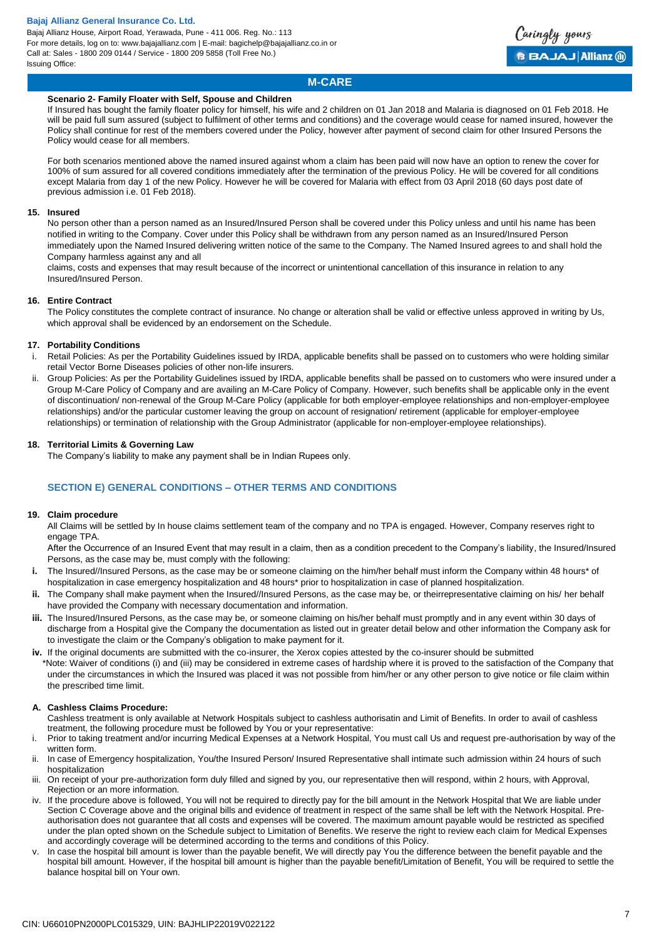Bajaj Allianz House, Airport Road, Yerawada, Pune - 411 006. Reg. No.: 113 For more details, log on to: www.bajajallianz.com | E-mail: bagichelp@bajajallianz.co.in or Call at: Sales - 1800 209 0144 / Service - 1800 209 5858 (Toll Free No.) Issuing Office:



## **M-CARE**

### **Scenario 2- Family Floater with Self, Spouse and Children**

If Insured has bought the family floater policy for himself, his wife and 2 children on 01 Jan 2018 and Malaria is diagnosed on 01 Feb 2018. He will be paid full sum assured (subject to fulfilment of other terms and conditions) and the coverage would cease for named insured, however the Policy shall continue for rest of the members covered under the Policy, however after payment of second claim for other Insured Persons the Policy would cease for all members.

For both scenarios mentioned above the named insured against whom a claim has been paid will now have an option to renew the cover for 100% of sum assured for all covered conditions immediately after the termination of the previous Policy. He will be covered for all conditions except Malaria from day 1 of the new Policy. However he will be covered for Malaria with effect from 03 April 2018 (60 days post date of previous admission i.e. 01 Feb 2018).

### **15. Insured**

No person other than a person named as an Insured/Insured Person shall be covered under this Policy unless and until his name has been notified in writing to the Company. Cover under this Policy shall be withdrawn from any person named as an Insured/Insured Person immediately upon the Named Insured delivering written notice of the same to the Company. The Named Insured agrees to and shall hold the Company harmless against any and all

claims, costs and expenses that may result because of the incorrect or unintentional cancellation of this insurance in relation to any Insured/Insured Person.

### **16. Entire Contract**

The Policy constitutes the complete contract of insurance. No change or alteration shall be valid or effective unless approved in writing by Us, which approval shall be evidenced by an endorsement on the Schedule.

### **17. Portability Conditions**

- Retail Policies: As per the Portability Guidelines issued by IRDA, applicable benefits shall be passed on to customers who were holding similar retail Vector Borne Diseases policies of other non-life insurers.
- ii. Group Policies: As per the Portability Guidelines issued by IRDA, applicable benefits shall be passed on to customers who were insured under a Group M-Care Policy of Company and are availing an M-Care Policy of Company. However, such benefits shall be applicable only in the event of discontinuation/ non-renewal of the Group M-Care Policy (applicable for both employer-employee relationships and non-employer-employee relationships) and/or the particular customer leaving the group on account of resignation/ retirement (applicable for employer-employee relationships) or termination of relationship with the Group Administrator (applicable for non-employer-employee relationships).

### **18. Territorial Limits & Governing Law**

The Company's liability to make any payment shall be in Indian Rupees only.

## **SECTION E) GENERAL CONDITIONS – OTHER TERMS AND CONDITIONS**

### **19. Claim procedure**

All Claims will be settled by In house claims settlement team of the company and no TPA is engaged. However, Company reserves right to engage TPA.

After the Occurrence of an Insured Event that may result in a claim, then as a condition precedent to the Company's liability, the Insured/Insured Persons, as the case may be, must comply with the following:

- **i.** The Insured//Insured Persons, as the case may be or someone claiming on the him/her behalf must inform the Company within 48 hours\* of hospitalization in case emergency hospitalization and 48 hours\* prior to hospitalization in case of planned hospitalization.
- **ii.** The Company shall make payment when the Insured//Insured Persons, as the case may be, or theirrepresentative claiming on his/ her behalf have provided the Company with necessary documentation and information.
- **iii.** The Insured/Insured Persons, as the case may be, or someone claiming on his/her behalf must promptly and in any event within 30 days of discharge from a Hospital give the Company the documentation as listed out in greater detail below and other information the Company ask for to investigate the claim or the Company's obligation to make payment for it.
- **iv.** If the original documents are submitted with the co-insurer, the Xerox copies attested by the co-insurer should be submitted \*Note: Waiver of conditions (i) and (iii) may be considered in extreme cases of hardship where it is proved to the satisfaction of the Company that under the circumstances in which the Insured was placed it was not possible from him/her or any other person to give notice or file claim within the prescribed time limit.

### **A. Cashless Claims Procedure:**

- Cashless treatment is only available at Network Hospitals subject to cashless authorisatin and Limit of Benefits. In order to avail of cashless treatment, the following procedure must be followed by You or your representative:
- i. Prior to taking treatment and/or incurring Medical Expenses at a Network Hospital, You must call Us and request pre-authorisation by way of the written form.
- ii. In case of Emergency hospitalization, You/the Insured Person/ Insured Representative shall intimate such admission within 24 hours of such hospitalization
- iii. On receipt of your pre-authorization form duly filled and signed by you, our representative then will respond, within 2 hours, with Approval, Rejection or an more information.
- iv. If the procedure above is followed, You will not be required to directly pay for the bill amount in the Network Hospital that We are liable under Section C Coverage above and the original bills and evidence of treatment in respect of the same shall be left with the Network Hospital. Preauthorisation does not guarantee that all costs and expenses will be covered. The maximum amount payable would be restricted as specified under the plan opted shown on the Schedule subject to Limitation of Benefits. We reserve the right to review each claim for Medical Expenses and accordingly coverage will be determined according to the terms and conditions of this Policy.
- v. In case the hospital bill amount is lower than the payable benefit, We will directly pay You the difference between the benefit payable and the hospital bill amount. However, if the hospital bill amount is higher than the payable benefit/Limitation of Benefit, You will be required to settle the balance hospital bill on Your own.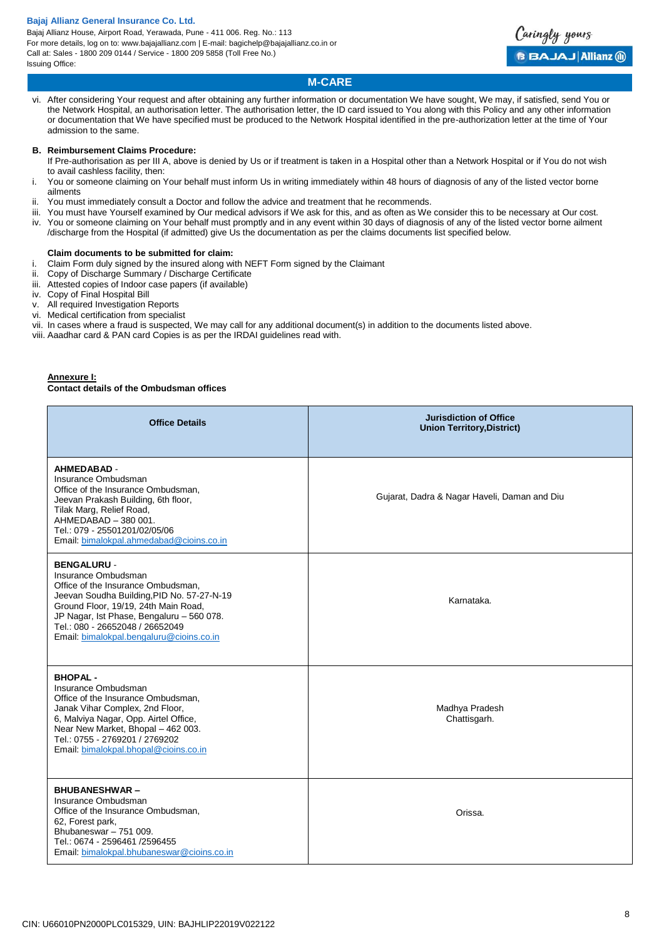Bajaj Allianz House, Airport Road, Yerawada, Pune - 411 006. Reg. No.: 113 For more details, log on to: www.bajajallianz.com | E-mail: bagichelp@bajajallianz.co.in or Call at: Sales - 1800 209 0144 / Service - 1800 209 5858 (Toll Free No.) Issuing Office:



## **M-CARE**

vi. After considering Your request and after obtaining any further information or documentation We have sought, We may, if satisfied, send You or the Network Hospital, an authorisation letter. The authorisation letter, the ID card issued to You along with this Policy and any other information or documentation that We have specified must be produced to the Network Hospital identified in the pre-authorization letter at the time of Your admission to the same.

### **B. Reimbursement Claims Procedure:**

- If Pre-authorisation as per III A, above is denied by Us or if treatment is taken in a Hospital other than a Network Hospital or if You do not wish to avail cashless facility, then:
- i. You or someone claiming on Your behalf must inform Us in writing immediately within 48 hours of diagnosis of any of the listed vector borne ailments
- ii. You must immediately consult a Doctor and follow the advice and treatment that he recommends.
- iii. You must have Yourself examined by Our medical advisors if We ask for this, and as often as We consider this to be necessary at Our cost. iv. You or someone claiming on Your behalf must promptly and in any event within 30 days of diagnosis of any of the listed vector borne ailment /discharge from the Hospital (if admitted) give Us the documentation as per the claims documents list specified below.

### **Claim documents to be submitted for claim:**

i. Claim Form duly signed by the insured along with NEFT Form signed by the Claimant

- ii. Copy of Discharge Summary / Discharge Certificate
- iii. Attested copies of Indoor case papers (if available)
- iv. Copy of Final Hospital Bill
- v. All required Investigation Reports
- vi. Medical certification from specialist
- vii. In cases where a fraud is suspected, We may call for any additional document(s) in addition to the documents listed above.
- viii. Aaadhar card & PAN card Copies is as per the IRDAI guidelines read with.

### **Annexure I:**

### **Contact details of the Ombudsman offices**

| <b>Office Details</b>                                                                                                                                                                                                                                                                             | <b>Jurisdiction of Office</b><br><b>Union Territory, District)</b> |
|---------------------------------------------------------------------------------------------------------------------------------------------------------------------------------------------------------------------------------------------------------------------------------------------------|--------------------------------------------------------------------|
| <b>AHMEDABAD -</b><br>Insurance Ombudsman<br>Office of the Insurance Ombudsman,<br>Jeevan Prakash Building, 6th floor,<br>Tilak Marg, Relief Road,<br>AHMEDABAD - 380 001.<br>Tel.: 079 - 25501201/02/05/06<br>Email: bimalokpal.ahmedabad@cioins.co.in                                           | Gujarat, Dadra & Nagar Haveli, Daman and Diu                       |
| <b>BENGALURU -</b><br>Insurance Ombudsman<br>Office of the Insurance Ombudsman,<br>Jeevan Soudha Building, PID No. 57-27-N-19<br>Ground Floor, 19/19, 24th Main Road,<br>JP Nagar, Ist Phase, Bengaluru - 560 078.<br>Tel.: 080 - 26652048 / 26652049<br>Email: bimalokpal.bengaluru@cioins.co.in | Karnataka.                                                         |
| <b>BHOPAL-</b><br>Insurance Ombudsman<br>Office of the Insurance Ombudsman,<br>Janak Vihar Complex, 2nd Floor,<br>6, Malviya Nagar, Opp. Airtel Office,<br>Near New Market, Bhopal - 462 003.<br>Tel.: 0755 - 2769201 / 2769202<br>Email: bimalokpal.bhopal@cioins.co.in                          | Madhya Pradesh<br>Chattisgarh.                                     |
| <b>BHUBANESHWAR-</b><br>Insurance Ombudsman<br>Office of the Insurance Ombudsman,<br>62, Forest park,<br>Bhubaneswar - 751 009.<br>Tel.: 0674 - 2596461 /2596455<br>Email: bimalokpal.bhubaneswar@cioins.co.in                                                                                    | Orissa.                                                            |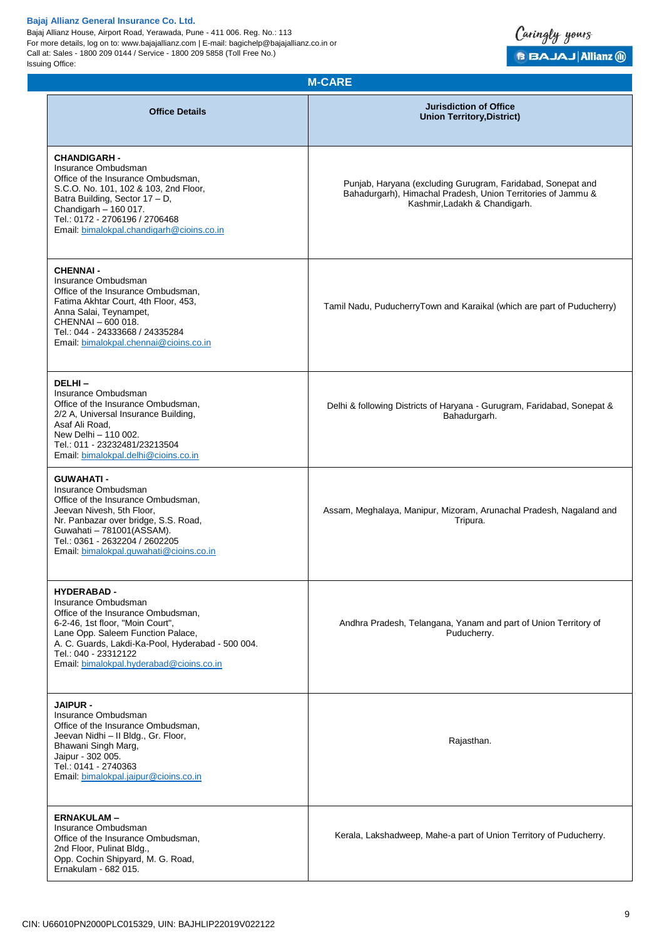Bajaj Allianz House, Airport Road, Yerawada, Pune - 411 006. Reg. No.: 113 For more details, log on to: www.bajajallianz.com | E-mail: bagichelp@bajajallianz.co.in or Call at: Sales - 1800 209 0144 / Service - 1800 209 5858 (Toll Free No.) Issuing Office:



| <b>M-CARE</b>                                                                                                                                                                                                                                                                    |                                                                                                                                                              |  |
|----------------------------------------------------------------------------------------------------------------------------------------------------------------------------------------------------------------------------------------------------------------------------------|--------------------------------------------------------------------------------------------------------------------------------------------------------------|--|
| <b>Office Details</b>                                                                                                                                                                                                                                                            | <b>Jurisdiction of Office</b><br><b>Union Territory, District)</b>                                                                                           |  |
| <b>CHANDIGARH -</b><br>Insurance Ombudsman<br>Office of the Insurance Ombudsman,<br>S.C.O. No. 101, 102 & 103, 2nd Floor,<br>Batra Building, Sector 17 - D,<br>Chandigarh - 160 017.<br>Tel.: 0172 - 2706196 / 2706468<br>Email: bimalokpal.chandigarh@cioins.co.in              | Punjab, Haryana (excluding Gurugram, Faridabad, Sonepat and<br>Bahadurgarh), Himachal Pradesh, Union Territories of Jammu &<br>Kashmir, Ladakh & Chandigarh. |  |
| <b>CHENNAI -</b><br>Insurance Ombudsman<br>Office of the Insurance Ombudsman,<br>Fatima Akhtar Court, 4th Floor, 453,<br>Anna Salai, Teynampet,<br>CHENNAI - 600 018.<br>Tel.: 044 - 24333668 / 24335284<br>Email: bimalokpal.chennai@cioins.co.in                               | Tamil Nadu, PuducherryTown and Karaikal (which are part of Puducherry)                                                                                       |  |
| DELHI-<br>Insurance Ombudsman<br>Office of the Insurance Ombudsman,<br>2/2 A, Universal Insurance Building,<br>Asaf Ali Road.<br>New Delhi - 110 002.<br>Tel.: 011 - 23232481/23213504<br>Email: bimalokpal.delhi@cioins.co.in                                                   | Delhi & following Districts of Haryana - Gurugram, Faridabad, Sonepat &<br>Bahadurgarh.                                                                      |  |
| <b>GUWAHATI-</b><br>Insurance Ombudsman<br>Office of the Insurance Ombudsman,<br>Jeevan Nivesh, 5th Floor,<br>Nr. Panbazar over bridge, S.S. Road,<br>Guwahati - 781001(ASSAM).<br>Tel.: 0361 - 2632204 / 2602205<br>Email: bimalokpal.quwahati@cioins.co.in                     | Assam, Meghalaya, Manipur, Mizoram, Arunachal Pradesh, Nagaland and<br>Tripura.                                                                              |  |
| <b>HYDERABAD-</b><br>Insurance Ombudsman<br>Office of the Insurance Ombudsman.<br>6-2-46, 1st floor, "Moin Court",<br>Lane Opp. Saleem Function Palace,<br>A. C. Guards, Lakdi-Ka-Pool, Hyderabad - 500 004.<br>Tel.: 040 - 23312122<br>Email: bimalokpal.hyderabad@cioins.co.in | Andhra Pradesh, Telangana, Yanam and part of Union Territory of<br>Puducherry.                                                                               |  |
| <b>JAIPUR -</b><br>Insurance Ombudsman<br>Office of the Insurance Ombudsman,<br>Jeevan Nidhi - Il Bldg., Gr. Floor,<br>Bhawani Singh Marg,<br>Jaipur - 302 005.<br>Tel.: 0141 - 2740363<br>Email: bimalokpal.jaipur@cioins.co.in                                                 | Rajasthan.                                                                                                                                                   |  |
| <b>ERNAKULAM-</b><br>Insurance Ombudsman<br>Office of the Insurance Ombudsman,<br>2nd Floor, Pulinat Bldg.,<br>Opp. Cochin Shipyard, M. G. Road,<br>Ernakulam - 682 015.                                                                                                         | Kerala, Lakshadweep, Mahe-a part of Union Territory of Puducherry.                                                                                           |  |